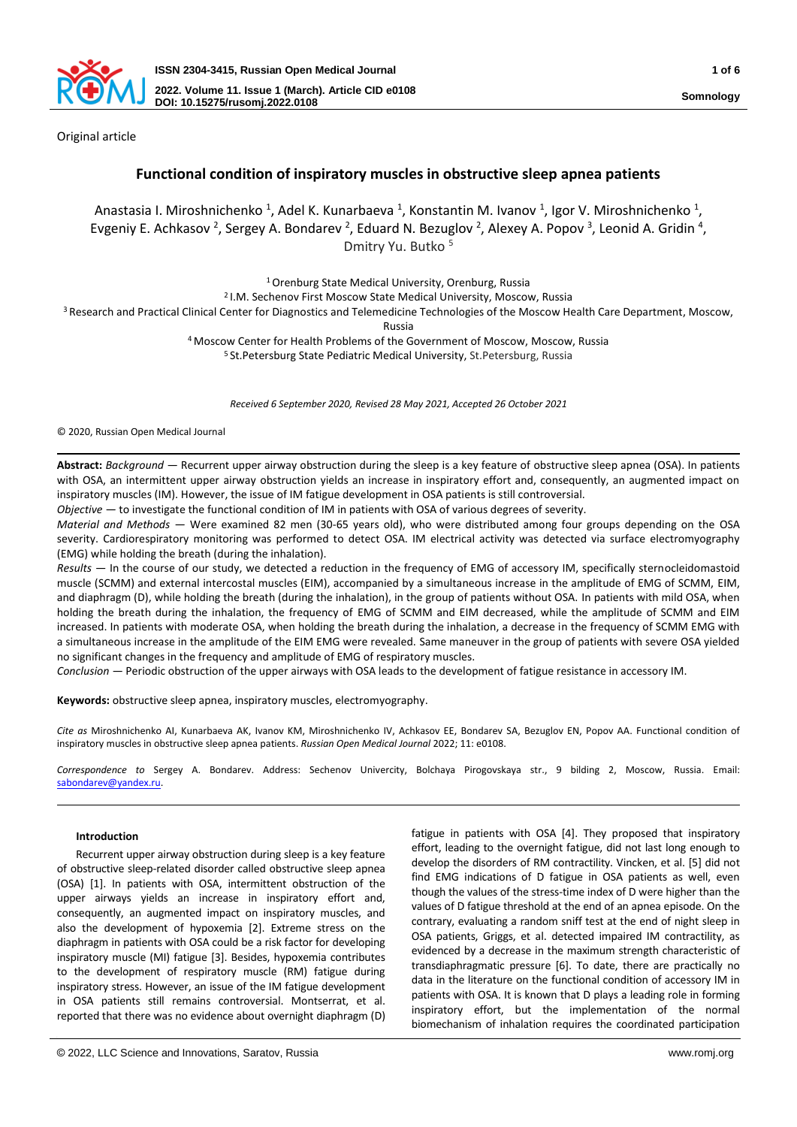

Original article

# **Functional condition of inspiratory muscles in obstructive sleep apnea patients**

Anastasia I. Miroshnichenko <sup>1</sup>, Adel K. Kunarbaeva <sup>1</sup>, Konstantin M. Ivanov <sup>1</sup>, Igor V. Miroshnichenko <sup>1</sup>, Evgeniy E. Achkasov <sup>2</sup>, Sergey A. Bondarev <sup>2</sup>, Eduard N. Bezuglov <sup>2</sup>, Alexey A. Popov <sup>3</sup>, Leonid A. Gridin <sup>4</sup>, Dmitry Yu. Butko <sup>5</sup>

<sup>1</sup> Orenburg State Medical University, Orenburg, Russia

2 I.M. Sechenov First Moscow State Medical University, Moscow, Russia

<sup>3</sup> Research and Practical Clinical Center for Diagnostics and Telemedicine Technologies of the Moscow Health Care Department, Moscow,

Russia

<sup>4</sup>Moscow Center for Health Problems of the Government of Moscow, Moscow, Russia

<sup>5</sup> St.Petersburg State Pediatric Medical University, St.Petersburg, Russia

*Received 6 September 2020, Revised 28 May 2021, Accepted 26 October 2021*

© 2020, Russian Open Medical Journal

**Abstract:** *Background —* Recurrent upper airway obstruction during the sleep is a key feature of obstructive sleep apnea (OSA). In patients with OSA, an intermittent upper airway obstruction yields an increase in inspiratory effort and, consequently, an augmented impact on inspiratory muscles (IM). However, the issue of IM fatigue development in OSA patients is still controversial.

*Objective —* to investigate the functional condition of IM in patients with OSA of various degrees of severity.

*Material and Methods —* Were examined 82 men (30-65 years old), who were distributed among four groups depending on the OSA severity. Cardiorespiratory monitoring was performed to detect OSA. IM electrical activity was detected via surface electromyography (EMG) while holding the breath (during the inhalation).

*Results —* In the course of our study, we detected a reduction in the frequency of EMG of accessory IM, specifically sternocleidomastoid muscle (SCMM) and external intercostal muscles (EIM), accompanied by a simultaneous increase in the amplitude of EMG of SCMM, EIM, and diaphragm (D), while holding the breath (during the inhalation), in the group of patients without OSA. In patients with mild OSA, when holding the breath during the inhalation, the frequency of EMG of SCMM and EIM decreased, while the amplitude of SCMM and EIM increased. In patients with moderate OSA, when holding the breath during the inhalation, a decrease in the frequency of SCMM EMG with a simultaneous increase in the amplitude of the EIM EMG were revealed. Same maneuver in the group of patients with severe OSA yielded no significant changes in the frequency and amplitude of EMG of respiratory muscles.

*Conclusion —* Periodic obstruction of the upper airways with OSA leads to the development of fatigue resistance in accessory IM.

**Keywords:** obstructive sleep apnea, inspiratory muscles, electromyography.

*Cite as* Miroshnichenko AI, Kunarbaeva AK, Ivanov KM, Miroshnichenko IV, Achkasov EE, Bondarev SA, Bezuglov EN, Popov AA. Functional condition of inspiratory muscles in obstructive sleep apnea patients. *Russian Open Medical Journal* 2022; 11: e0108.

*Correspondence to* Sergey A. Bondarev. Address: Sechenov Univercity, Bolchaya Pirogovskaya str., 9 bilding 2, Moscow, Russia. Email: [sabondarev@yandex.ru.](mailto:sabondarev@yandex.ru)

## **Introduction**

Recurrent upper airway obstruction during sleep is a key feature of obstructive sleep-related disorder called obstructive sleep apnea (OSA) [1]. In patients with OSA, intermittent obstruction of the upper airways yields an increase in inspiratory effort and, consequently, an augmented impact on inspiratory muscles, and also the development of hypoxemia [2]. Extreme stress on the diaphragm in patients with OSA could be a risk factor for developing inspiratory muscle (MI) fatigue [3]. Besides, hypoxemia contributes to the development of respiratory muscle (RM) fatigue during inspiratory stress. However, an issue of the IM fatigue development in OSA patients still remains controversial. Montserrat, et al. reported that there was no evidence about overnight diaphragm (D) fatigue in patients with OSA [4]. They proposed that inspiratory effort, leading to the overnight fatigue, did not last long enough to develop the disorders of RM contractility. Vincken, et al. [5] did not find EMG indications of D fatigue in OSA patients as well, even though the values of the stress-time index of D were higher than the values of D fatigue threshold at the end of an apnea episode. On the contrary, evaluating a random sniff test at the end of night sleep in OSA patients, Griggs, et al. detected impaired IM contractility, as evidenced by a decrease in the maximum strength characteristic of transdiaphragmatic pressure [6]. To date, there are practically no data in the literature on the functional condition of accessory IM in patients with OSA. It is known that D plays a leading role in forming inspiratory effort, but the implementation of the normal biomechanism of inhalation requires the coordinated participation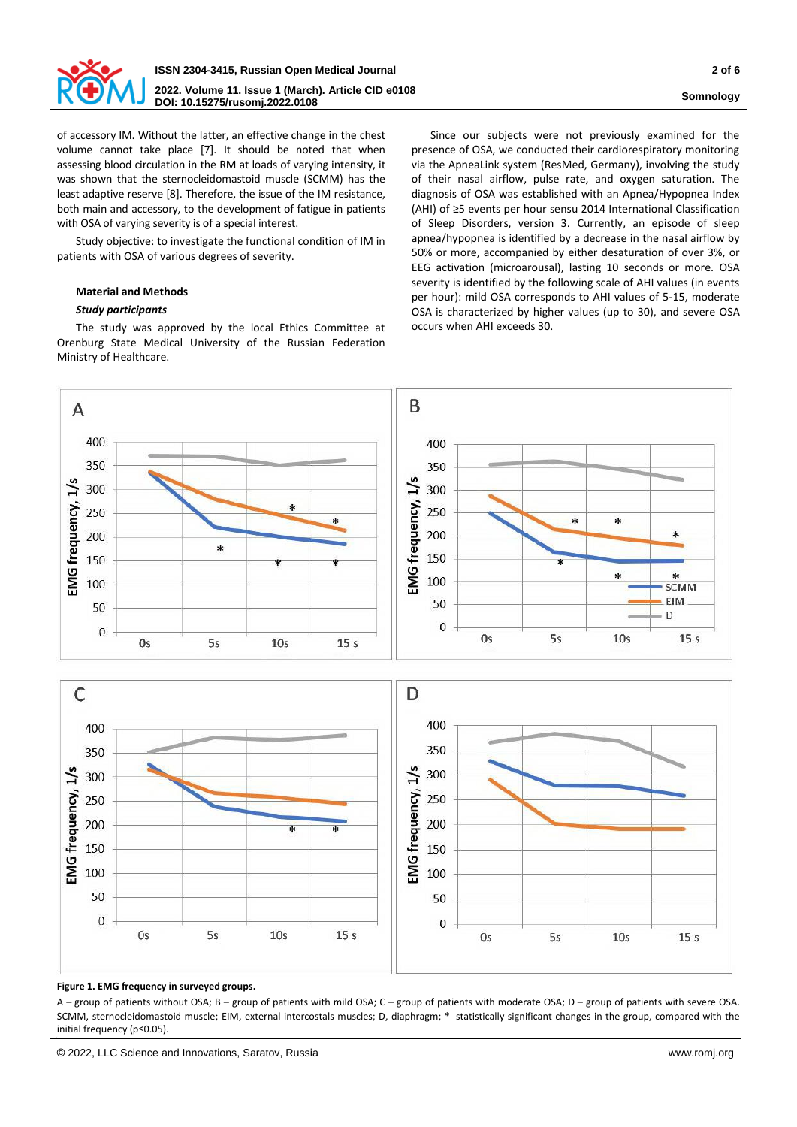

of accessory IM. Without the latter, an effective change in the chest volume cannot take place [7]. It should be noted that when assessing blood circulation in the RM at loads of varying intensity, it was shown that the sternocleidomastoid muscle (SCMM) has the least adaptive reserve [8]. Therefore, the issue of the IM resistance, both main and accessory, to the development of fatigue in patients with OSA of varying severity is of a special interest.

Study objective: to investigate the functional condition of IM in patients with OSA of various degrees of severity.

# **Material and Methods**

# *Study participants*

The study was approved by the local Ethics Committee at Orenburg State Medical University of the Russian Federation Ministry of Healthcare.

Since our subjects were not previously examined for the presence of OSA, we conducted their cardiorespiratory monitoring via the ApneaLink system (ResMed, Germany), involving the study of their nasal airflow, pulse rate, and oxygen saturation. The diagnosis of OSA was established with an Apnea/Hypopnea Index (AHI) of ≥5 events per hour sensu 2014 International Classification of Sleep Disorders, version 3. Currently, an episode of sleep apnea/hypopnea is identified by a decrease in the nasal airflow by 50% or more, accompanied by either desaturation of over 3%, or EEG activation (microarousal), lasting 10 seconds or more. OSA severity is identified by the following scale of AHI values (in events per hour): mild OSA corresponds to AHI values of 5-15, moderate OSA is characterized by higher values (up to 30), and severe OSA occurs when AHI exceeds 30.



#### **Figure 1. EMG frequency in surveyed groups.**

A – group of patients without OSA; B – group of patients with mild OSA; C – group of patients with moderate OSA; D – group of patients with severe OSA. SCMM, sternocleidomastoid muscle; EIM, external intercostals muscles; D, diaphragm; \* statistically significant changes in the group, compared with the initial frequency (p≤0.05).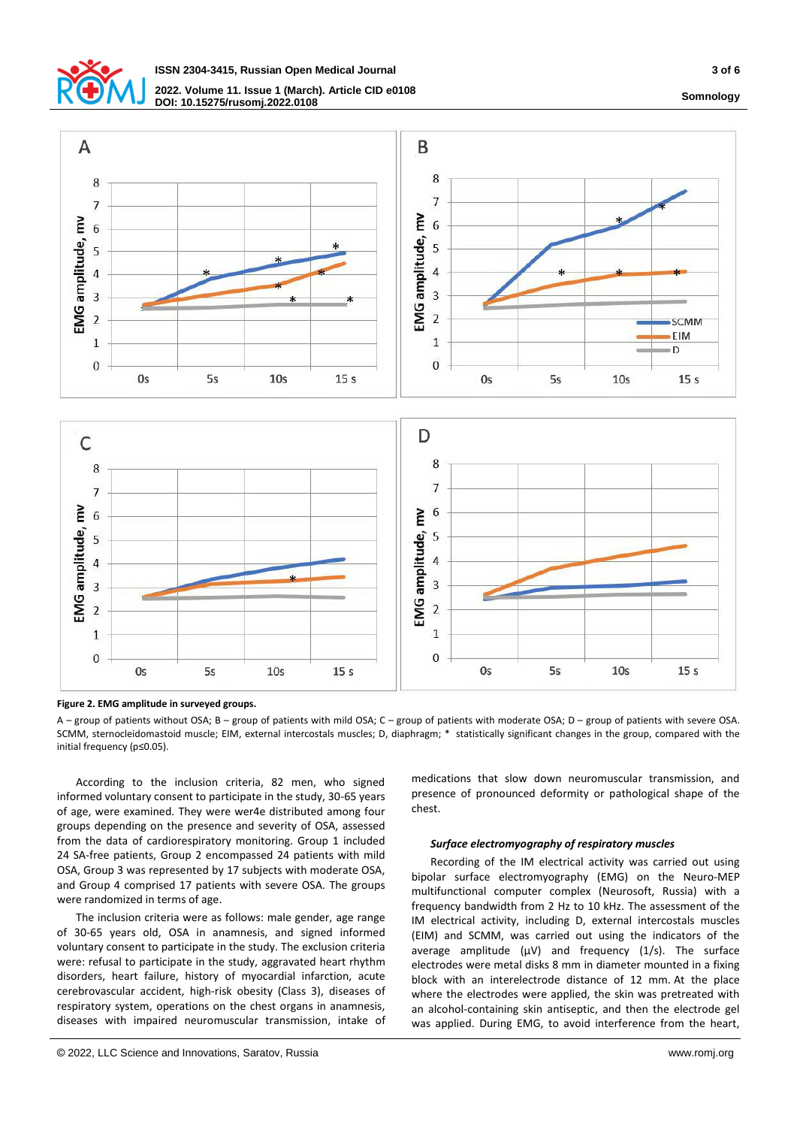



**Figure 2. EMG amplitude in surveyed groups.**

A – group of patients without OSA; B – group of patients with mild OSA; C – group of patients with moderate OSA; D – group of patients with severe OSA. SCMM, sternocleidomastoid muscle; EIM, external intercostals muscles; D, diaphragm; \* statistically significant changes in the group, compared with the initial frequency (p≤0.05).

According to the inclusion criteria, 82 men, who signed informed voluntary consent to participate in the study, 30-65 years of age, were examined. They were wer4e distributed among four groups depending on the presence and severity of OSA, assessed from the data of cardiorespiratory monitoring. Group 1 included 24 SA-free patients, Group 2 encompassed 24 patients with mild OSA, Group 3 was represented by 17 subjects with moderate OSA, and Group 4 comprised 17 patients with severe OSA. The groups were randomized in terms of age.

The inclusion criteria were as follows: male gender, age range of 30-65 years old, OSA in anamnesis, and signed informed voluntary consent to participate in the study. The exclusion criteria were: refusal to participate in the study, aggravated heart rhythm disorders, heart failure, history of myocardial infarction, acute cerebrovascular accident, high-risk obesity (Class 3), diseases of respiratory system, operations on the chest organs in anamnesis, diseases with impaired neuromuscular transmission, intake of

medications that slow down neuromuscular transmission, and presence of pronounced deformity or pathological shape of the chest.

## *Surface electromyography of respiratory muscles*

Recording of the IM electrical activity was carried out using bipolar surface electromyography (EMG) on the Neuro-MEP multifunctional computer complex (Neurosoft, Russia) with a frequency bandwidth from 2 Hz to 10 kHz. The assessment of the IM electrical activity, including D, external intercostals muscles (EIM) and SCMM, was carried out using the indicators of the average amplitude (μV) and frequency (1/s). The surface electrodes were metal disks 8 mm in diameter mounted in a fixing block with an interelectrode distance of 12 mm. At the place where the electrodes were applied, the skin was pretreated with an alcohol-containing skin antiseptic, and then the electrode gel was applied. During EMG, to avoid interference from the heart,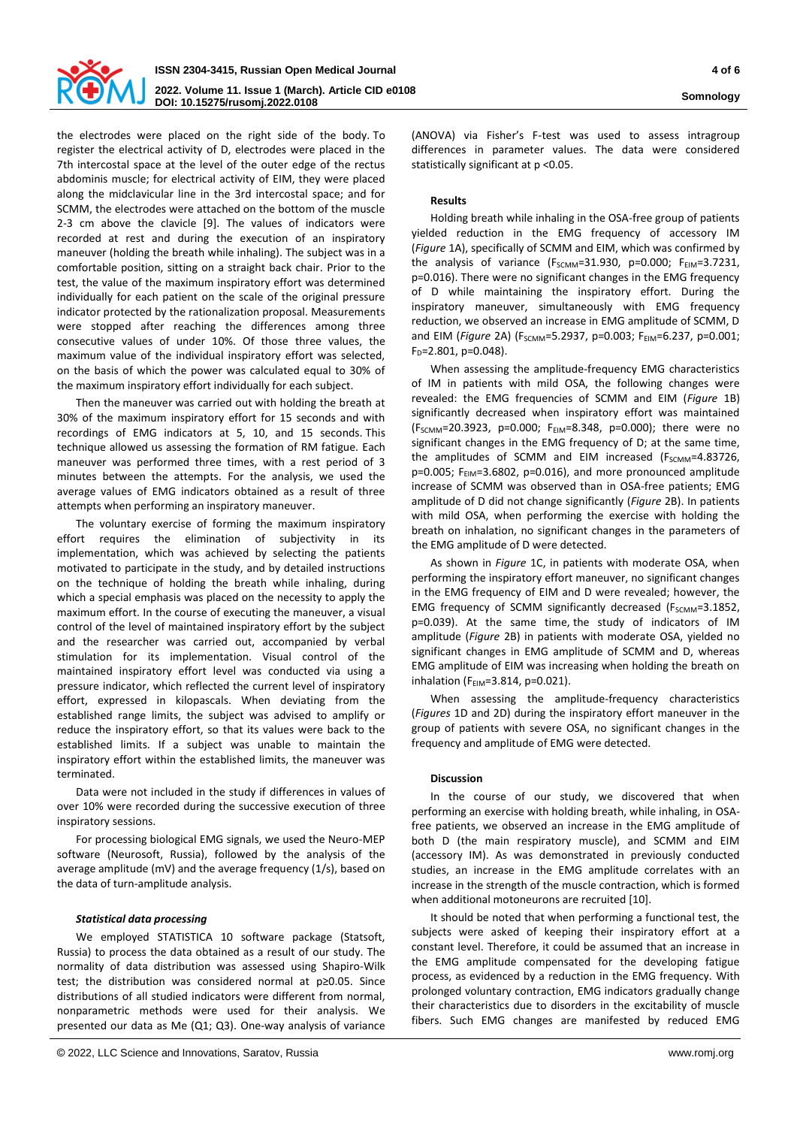

the electrodes were placed on the right side of the body. To register the electrical activity of D, electrodes were placed in the 7th intercostal space at the level of the outer edge of the rectus abdominis muscle; for electrical activity of EIM, they were placed along the midclavicular line in the 3rd intercostal space; and for SCMM, the electrodes were attached on the bottom of the muscle 2-3 cm above the clavicle [9]. The values of indicators were recorded at rest and during the execution of an inspiratory maneuver (holding the breath while inhaling). The subject was in a comfortable position, sitting on a straight back chair. Prior to the test, the value of the maximum inspiratory effort was determined individually for each patient on the scale of the original pressure indicator protected by the rationalization proposal. Measurements were stopped after reaching the differences among three consecutive values of under 10%. Of those three values, the maximum value of the individual inspiratory effort was selected, on the basis of which the power was calculated equal to 30% of the maximum inspiratory effort individually for each subject.

Then the maneuver was carried out with holding the breath at 30% of the maximum inspiratory effort for 15 seconds and with recordings of EMG indicators at 5, 10, and 15 seconds. This technique allowed us assessing the formation of RM fatigue. Each maneuver was performed three times, with a rest period of 3 minutes between the attempts. For the analysis, we used the average values of EMG indicators obtained as a result of three attempts when performing an inspiratory maneuver.

The voluntary exercise of forming the maximum inspiratory effort requires the elimination of subjectivity in its implementation, which was achieved by selecting the patients motivated to participate in the study, and by detailed instructions on the technique of holding the breath while inhaling, during which a special emphasis was placed on the necessity to apply the maximum effort. In the course of executing the maneuver, a visual control of the level of maintained inspiratory effort by the subject and the researcher was carried out, accompanied by verbal stimulation for its implementation. Visual control of the maintained inspiratory effort level was conducted via using a pressure indicator, which reflected the current level of inspiratory effort, expressed in kilopascals. When deviating from the established range limits, the subject was advised to amplify or reduce the inspiratory effort, so that its values were back to the established limits. If a subject was unable to maintain the inspiratory effort within the established limits, the maneuver was terminated.

Data were not included in the study if differences in values of over 10% were recorded during the successive execution of three inspiratory sessions.

For processing biological EMG signals, we used the Neuro-MEP software (Neurosoft, Russia), followed by the analysis of the average amplitude (mV) and the average frequency (1/s), based on the data of turn-amplitude analysis.

## *Statistical data processing*

We employed STATISTICA 10 software package (Statsoft, Russia) to process the data obtained as a result of our study. The normality of data distribution was assessed using Shapiro-Wilk test; the distribution was considered normal at p≥0.05. Since distributions of all studied indicators were different from normal, nonparametric methods were used for their analysis. We presented our data as Me (Q1; Q3). One-way analysis of variance

(ANOVA) via Fisher's F-test was used to assess intragroup differences in parameter values. The data were considered statistically significant at p <0.05.

## **Results**

Holding breath while inhaling in the OSA-free group of patients yielded reduction in the EMG frequency of accessory IM (*Figure* 1A), specifically of SCMM and EIM, which was confirmed by the analysis of variance ( $F_{SCMM}$ =31.930, p=0.000;  $F_{EIM}$ =3.7231, p=0.016). There were no significant changes in the EMG frequency of D while maintaining the inspiratory effort. During the inspiratory maneuver, simultaneously with EMG frequency reduction, we observed an increase in EMG amplitude of SCMM, D and EIM (Figure 2A) (F<sub>SCMM</sub>=5.2937, p=0.003; F<sub>EIM</sub>=6.237, p=0.001;  $F_D = 2.801$ , p=0.048).

When assessing the amplitude-frequency EMG characteristics of IM in patients with mild OSA, the following changes were revealed: the EMG frequencies of SCMM and EIM (*Figure* 1B) significantly decreased when inspiratory effort was maintained  $(F_{SCMM}=20.3923, p=0.000; F_{EIM}=8.348, p=0.000);$  there were no significant changes in the EMG frequency of D; at the same time, the amplitudes of SCMM and EIM increased (F<sub>SCMM</sub>=4.83726,  $p=0.005$ ; F<sub>EIM</sub>=3.6802,  $p=0.016$ ), and more pronounced amplitude increase of SCMM was observed than in OSA-free patients; EMG amplitude of D did not change significantly (*Figure* 2B). In patients with mild OSA, when performing the exercise with holding the breath on inhalation, no significant changes in the parameters of the EMG amplitude of D were detected.

As shown in *Figure* 1C, in patients with moderate OSA, when performing the inspiratory effort maneuver, no significant changes in the EMG frequency of EIM and D were revealed; however, the EMG frequency of SCMM significantly decreased ( $F_{SCMM}$ =3.1852, p=0.039). At the same time, the study of indicators of IM amplitude (*Figure* 2B) in patients with moderate OSA, yielded no significant changes in EMG amplitude of SCMM and D, whereas EMG amplitude of EIM was increasing when holding the breath on inhalation (F<sub>EIM</sub>=3.814, p=0.021).

When assessing the amplitude-frequency characteristics (*Figures* 1D and 2D) during the inspiratory effort maneuver in the group of patients with severe OSA, no significant changes in the frequency and amplitude of EMG were detected.

## **Discussion**

In the course of our study, we discovered that when performing an exercise with holding breath, while inhaling, in OSAfree patients, we observed an increase in the EMG amplitude of both D (the main respiratory muscle), and SCMM and EIM (accessory IM). As was demonstrated in previously conducted studies, an increase in the EMG amplitude correlates with an increase in the strength of the muscle contraction, which is formed when additional motoneurons are recruited [10].

It should be noted that when performing a functional test, the subjects were asked of keeping their inspiratory effort at a constant level. Therefore, it could be assumed that an increase in the EMG amplitude compensated for the developing fatigue process, as evidenced by a reduction in the EMG frequency. With prolonged voluntary contraction, EMG indicators gradually change their characteristics due to disorders in the excitability of muscle fibers. Such EMG changes are manifested by reduced EMG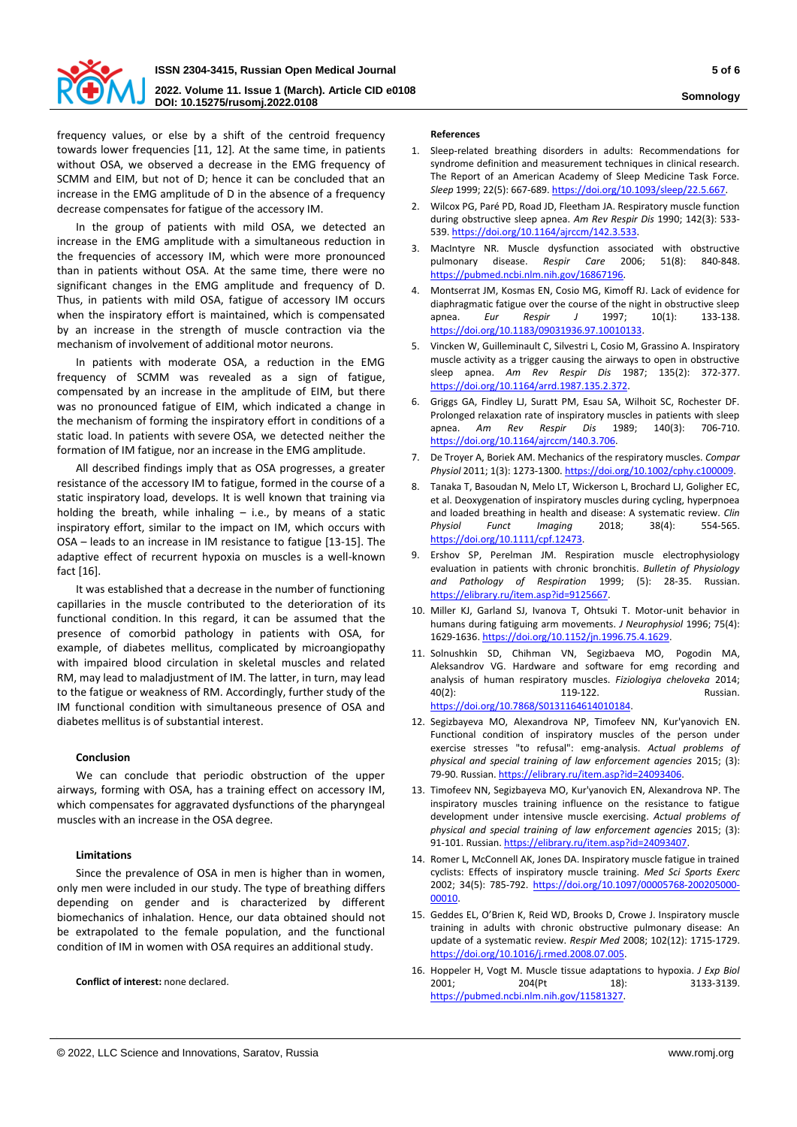

**DOI: 10.15275/rusomj.2022.0108 Somnology**

frequency values, or else by a shift of the centroid frequency towards lower frequencies [11, 12]*.* At the same time, in patients without OSA, we observed a decrease in the EMG frequency of SCMM and EIM, but not of D; hence it can be concluded that an increase in the EMG amplitude of D in the absence of a frequency decrease compensates for fatigue of the accessory IM.

In the group of patients with mild OSA, we detected an increase in the EMG amplitude with a simultaneous reduction in the frequencies of accessory IM, which were more pronounced than in patients without OSA. At the same time, there were no significant changes in the EMG amplitude and frequency of D. Thus, in patients with mild OSA, fatigue of accessory IM occurs when the inspiratory effort is maintained, which is compensated by an increase in the strength of muscle contraction via the mechanism of involvement of additional motor neurons.

In patients with moderate OSA, a reduction in the EMG frequency of SCMM was revealed as a sign of fatigue, compensated by an increase in the amplitude of EIM, but there was no pronounced fatigue of EIM, which indicated a change in the mechanism of forming the inspiratory effort in conditions of a static load. In patients with severe OSA, we detected neither the formation of IM fatigue, nor an increase in the EMG amplitude.

All described findings imply that as OSA progresses, a greater resistance of the accessory IM to fatigue, formed in the course of a static inspiratory load, develops. It is well known that training via holding the breath, while inhaling  $-$  i.e., by means of a static inspiratory effort, similar to the impact on IM, which occurs with OSA – leads to an increase in IM resistance to fatigue [13-15]. The adaptive effect of recurrent hypoxia on muscles is a well-known fact [16].

It was established that a decrease in the number of functioning capillaries in the muscle contributed to the deterioration of its functional condition. In this regard, it can be assumed that the presence of comorbid pathology in patients with OSA, for example, of diabetes mellitus, complicated by microangiopathy with impaired blood circulation in skeletal muscles and related RM, may lead to maladjustment of IM. The latter, in turn, may lead to the fatigue or weakness of RM. Accordingly, further study of the IM functional condition with simultaneous presence of OSA and diabetes mellitus is of substantial interest.

#### **Conclusion**

We can conclude that periodic obstruction of the upper airways, forming with OSA, has a training effect on accessory IM, which compensates for aggravated dysfunctions of the pharyngeal muscles with an increase in the OSA degree.

#### **Limitations**

Since the prevalence of OSA in men is higher than in women, only men were included in our study. The type of breathing differs depending on gender and is characterized by different biomechanics of inhalation. Hence, our data obtained should not be extrapolated to the female population, and the functional condition of IM in women with OSA requires an additional study.

**Conflict of interest:** none declared.

## **References**

- 1. Sleep-related breathing disorders in adults: Recommendations for syndrome definition and measurement techniques in clinical research. The Report of an American Academy of Sleep Medicine Task Force. *Sleep* 1999; 22(5): 667-689[. https://doi.org/10.1093/sleep/22.5.667.](https://doi.org/10.1093/sleep/22.5.667)
- 2. Wilcox PG, Paré PD, Road JD, Fleetham JA. Respiratory muscle function during obstructive sleep apnea. *Am Rev Respir Dis* 1990; 142(3): 533- 539[. https://doi.org/10.1164/ajrccm/142.3.533.](https://doi.org/10.1164/ajrccm/142.3.533)
- 3. MacIntyre NR. Muscle dysfunction associated with obstructive pulmonary disease. *Respir Care* 2006; 51(8): 840-848. [https://pubmed.ncbi.nlm.nih.gov/16867196.](https://pubmed.ncbi.nlm.nih.gov/16867196)
- 4. Montserrat JM, Kosmas EN, Cosio MG, Kimoff RJ. Lack of evidence for diaphragmatic fatigue over the course of the night in obstructive sleep apnea. *Eur Respir J* 1997; 10(1): 133-138. [https://doi.org/10.1183/09031936.97.10010133.](https://doi.org/10.1183/09031936.97.10010133)
- 5. Vincken W, Guilleminault C, Silvestri L, Cosio M, Grassino A. Inspiratory muscle activity as a trigger causing the airways to open in obstructive sleep apnea. *Am Rev Respir Dis* 1987; 135(2): 372-377. [https://doi.org/10.1164/arrd.1987.135.2.372.](https://doi.org/10.1164/arrd.1987.135.2.372)
- 6. Griggs GA, Findley LJ, Suratt PM, Esau SA, Wilhoit SC, Rochester DF. Prolonged relaxation rate of inspiratory muscles in patients with sleep apnea. *Am Rev Respir Dis* 1989; 140(3): 706-710. [https://doi.org/10.1164/ajrccm/140.3.706.](https://doi.org/10.1164/ajrccm/140.3.706)
- 7. De Troyer A, Boriek AM. Mechanics of the respiratory muscles. *Compar Physiol* 2011; 1(3): 1273-1300[. https://doi.org/10.1002/cphy.c100009.](https://doi.org/10.1002/cphy.c100009)
- 8. Tanaka T, Basoudan N, Melo LT, Wickerson L, Brochard LJ, Goligher EC, et al. Deoxygenation of inspiratory muscles during cycling, hyperpnoea and loaded breathing in health and disease: A systematic review. *Clin Physiol Funct Imaging* 2018; 38(4): 554-565. [https://doi.org/10.1111/cpf.12473.](https://doi.org/10.1111/cpf.12473)
- 9. Ershov SP, Perelman JM. Respiration muscle electrophysiology evaluation in patients with chronic bronchitis. *Bulletin of Physiology and Pathology of Respiration* 1999; (5): 28-35. Russian. [https://elibrary.ru/item.asp?id=9125667.](https://elibrary.ru/item.asp?id=9125667)
- 10. Miller KJ, Garland SJ, Ivanova T, Ohtsuki T. Motor-unit behavior in humans during fatiguing arm movements. *J Neurophysiol* 1996; 75(4): 1629-1636[. https://doi.org/10.1152/jn.1996.75.4.1629.](https://doi.org/10.1152/jn.1996.75.4.1629)
- 11. Solnushkin SD, Chihman VN, Segizbaeva MO, Pogodin MA, Aleksandrov VG. Hardware and software for emg recording and analysis of human respiratory muscles. *Fiziologiya cheloveka* 2014; 40(2): 119-122. Russian. [https://doi.org/10.7868/S0131164614010184.](https://doi.org/10.7868/S0131164614010184)
- 12. Segizbayeva MO, Alexandrova NP, Timofeev NN, Kur'yanovich EN. Functional condition of inspiratory muscles of the person under exercise stresses "to refusal": emg-analysis. *Actual problems of physical and special training of law enforcement agencies* 2015; (3): 79-90. Russian[. https://elibrary.ru/item.asp?id=24093406.](https://elibrary.ru/item.asp?id=24093406)
- 13. Timofeev NN, Segizbayeva MO, Kur'yanovich EN, Alexandrova NP. The inspiratory muscles training influence on the resistance to fatigue development under intensive muscle exercising. *Actual problems of physical and special training of law enforcement agencies* 2015; (3): 91-101. Russian[. https://elibrary.ru/item.asp?id=24093407.](https://elibrary.ru/item.asp?id=24093407)
- 14. Romer L, McConnell AK, Jones DA. Inspiratory muscle fatigue in trained cyclists: Effects of inspiratory muscle training. *Med Sci Sports Exerc* 2002; 34(5): 785-792. [https://doi.org/10.1097/00005768-200205000-](https://doi.org/10.1097/00005768-200205000-00010) [00010.](https://doi.org/10.1097/00005768-200205000-00010)
- 15. Geddes EL, O'Brien K, Reid WD, Brooks D, Crowe J. Inspiratory muscle training in adults with chronic obstructive pulmonary disease: An update of a systematic review. *Respir Med* 2008; 102(12): 1715-1729. [https://doi.org/10.1016/j.rmed.2008.07.005.](https://doi.org/10.1016/j.rmed.2008.07.005)
- 16. Hoppeler H, Vogt M. Muscle tissue adaptations to hypoxia. *J Exp Biol* 2001; 204(Pt 18): 3133-3139. [https://pubmed.ncbi.nlm.nih.gov/11581327.](https://pubmed.ncbi.nlm.nih.gov/11581327)